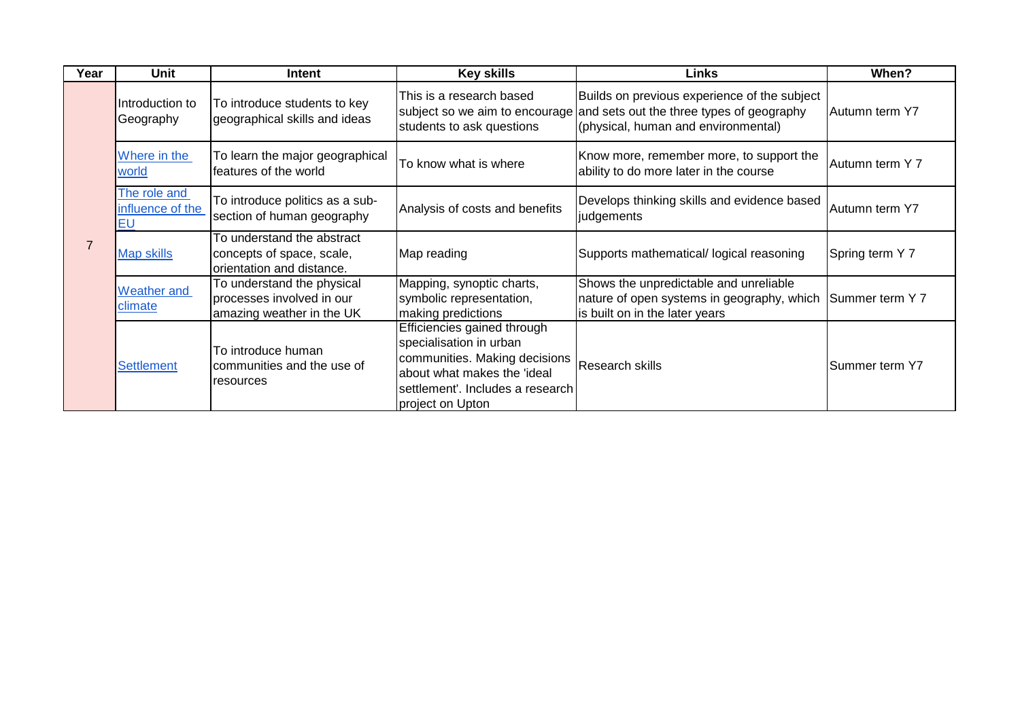| Year           | Unit                                          | Intent                                                                               | <b>Key skills</b>                                                                                                                                                              | Links                                                                                                                                                           | When?           |
|----------------|-----------------------------------------------|--------------------------------------------------------------------------------------|--------------------------------------------------------------------------------------------------------------------------------------------------------------------------------|-----------------------------------------------------------------------------------------------------------------------------------------------------------------|-----------------|
| $\overline{7}$ | Introduction to<br>Geography                  | To introduce students to key<br>geographical skills and ideas                        | This is a research based<br>students to ask questions                                                                                                                          | Builds on previous experience of the subject<br>subject so we aim to encourage and sets out the three types of geography<br>(physical, human and environmental) | Autumn term Y7  |
|                | Where in the<br>world                         | To learn the major geographical<br>features of the world                             | To know what is where                                                                                                                                                          | Know more, remember more, to support the<br>ability to do more later in the course                                                                              | Autumn term Y 7 |
|                | The role and<br>influence of the<br><b>EU</b> | To introduce politics as a sub-<br>section of human geography                        | Analysis of costs and benefits                                                                                                                                                 | Develops thinking skills and evidence based<br>judgements                                                                                                       | Autumn term Y7  |
|                | <b>Map skills</b>                             | To understand the abstract<br>concepts of space, scale,<br>orientation and distance. | Map reading                                                                                                                                                                    | Supports mathematical/ logical reasoning                                                                                                                        | Spring term Y 7 |
|                | <b>Weather and</b><br>climate                 | To understand the physical<br>processes involved in our<br>amazing weather in the UK | Mapping, synoptic charts,<br>symbolic representation,<br>making predictions                                                                                                    | Shows the unpredictable and unreliable<br>nature of open systems in geography, which Summer term Y 7<br>is built on in the later years                          |                 |
|                | <b>Settlement</b>                             | To introduce human<br>communities and the use of<br>resources                        | Efficiencies gained through<br>specialisation in urban<br>communities. Making decisions<br>about what makes the 'ideal<br>settlement'. Includes a research<br>project on Upton | <b>Research skills</b>                                                                                                                                          | Summer term Y7  |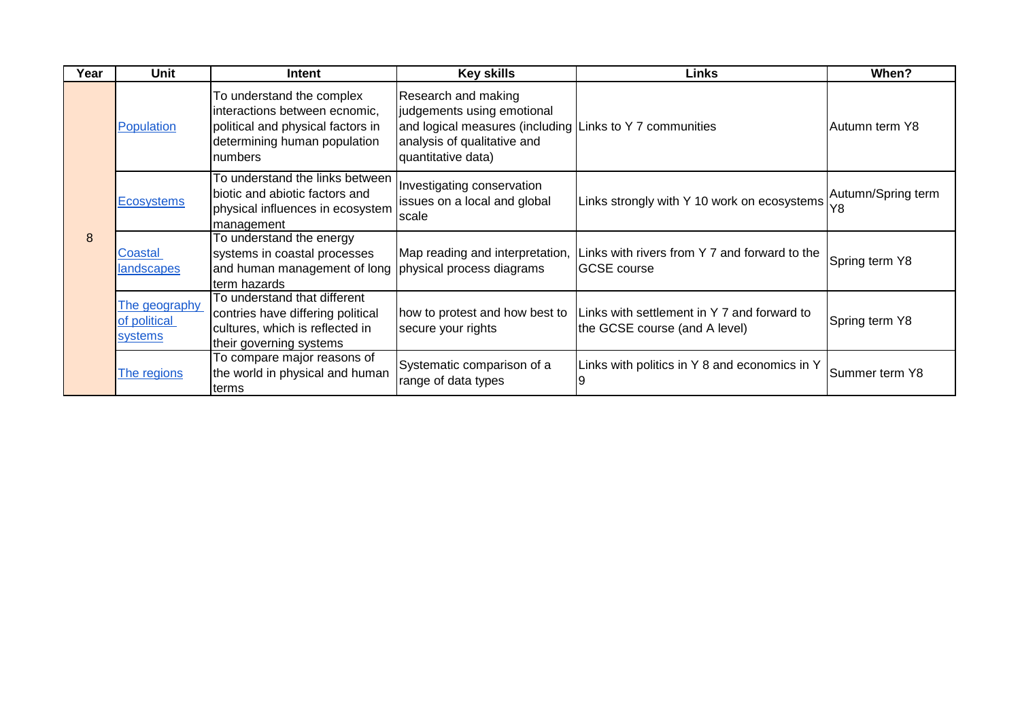| Year | Unit                                     | <b>Intent</b>                                                                                                                              | <b>Key skills</b>                                                                                                                                                  | <b>Links</b>                                                                                         | When?                    |
|------|------------------------------------------|--------------------------------------------------------------------------------------------------------------------------------------------|--------------------------------------------------------------------------------------------------------------------------------------------------------------------|------------------------------------------------------------------------------------------------------|--------------------------|
| 8    | Population                               | To understand the complex<br>interactions between ecnomic,<br>political and physical factors in<br>determining human population<br>numbers | Research and making<br>judgements using emotional<br>and logical measures (including Links to Y 7 communities<br>analysis of qualitative and<br>quantitative data) |                                                                                                      | Autumn term Y8           |
|      | <b>Ecosystems</b>                        | To understand the links between<br>biotic and abiotic factors and<br>physical influences in ecosystem<br>management                        | Investigating conservation<br>issues on a local and global<br><b>Scale</b>                                                                                         | Links strongly with Y 10 work on ecosystems                                                          | Autumn/Spring term<br>Y8 |
|      | Coastal<br>landscapes                    | To understand the energy<br>systems in coastal processes<br>and human management of long physical process diagrams<br>term hazards         |                                                                                                                                                                    | Map reading and interpretation, Links with rivers from Y 7 and forward to the<br><b>IGCSE</b> course | Spring term Y8           |
|      | The geography<br>of political<br>systems | To understand that different<br>contries have differing political<br>cultures, which is reflected in<br>their governing systems            | how to protest and how best to<br>secure your rights                                                                                                               | Links with settlement in Y 7 and forward to<br>the GCSE course (and A level)                         | Spring term Y8           |
|      | The regions                              | To compare major reasons of<br>the world in physical and human<br>Iterms                                                                   | Systematic comparison of a<br>range of data types                                                                                                                  | Links with politics in Y 8 and economics in Y                                                        | Summer term Y8           |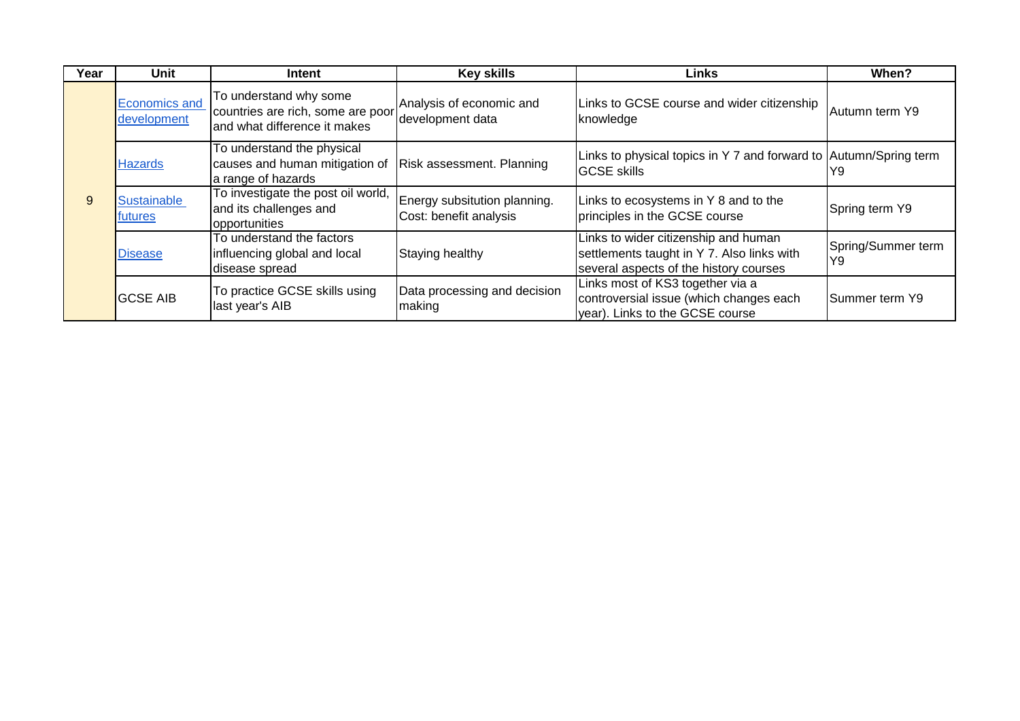| Year | Unit                                | Intent                                                                                                       | <b>Key skills</b>                                      | Links                                                                                                                        | When?                     |
|------|-------------------------------------|--------------------------------------------------------------------------------------------------------------|--------------------------------------------------------|------------------------------------------------------------------------------------------------------------------------------|---------------------------|
| 9    | <b>Economics and</b><br>development | To understand why some<br>countries are rich, some are poor<br>and what difference it makes                  | Analysis of economic and<br>development data           | Links to GCSE course and wider citizenship<br>knowledge                                                                      | Autumn term Y9            |
|      | <b>Hazards</b>                      | To understand the physical<br>causes and human mitigation of Risk assessment. Planning<br>a range of hazards |                                                        | Links to physical topics in Y 7 and forward to Autumn/Spring term<br><b>GCSE</b> skills                                      | IY9                       |
|      | <b>Sustainable</b><br>futures       | To investigate the post oil world,<br>and its challenges and<br>opportunities                                | Energy subsitution planning.<br>Cost: benefit analysis | Links to ecosystems in Y 8 and to the<br>principles in the GCSE course                                                       | Spring term Y9            |
|      | <b>Disease</b>                      | To understand the factors<br>influencing global and local<br>disease spread                                  | Staying healthy                                        | Links to wider citizenship and human<br>settlements taught in Y 7. Also links with<br>several aspects of the history courses | Spring/Summer term<br>lY9 |
|      | <b>GCSE AIB</b>                     | To practice GCSE skills using<br>last year's AIB                                                             | Data processing and decision<br>making                 | Links most of KS3 together via a<br>controversial issue (which changes each<br>year). Links to the GCSE course               | <b>Summer term Y9</b>     |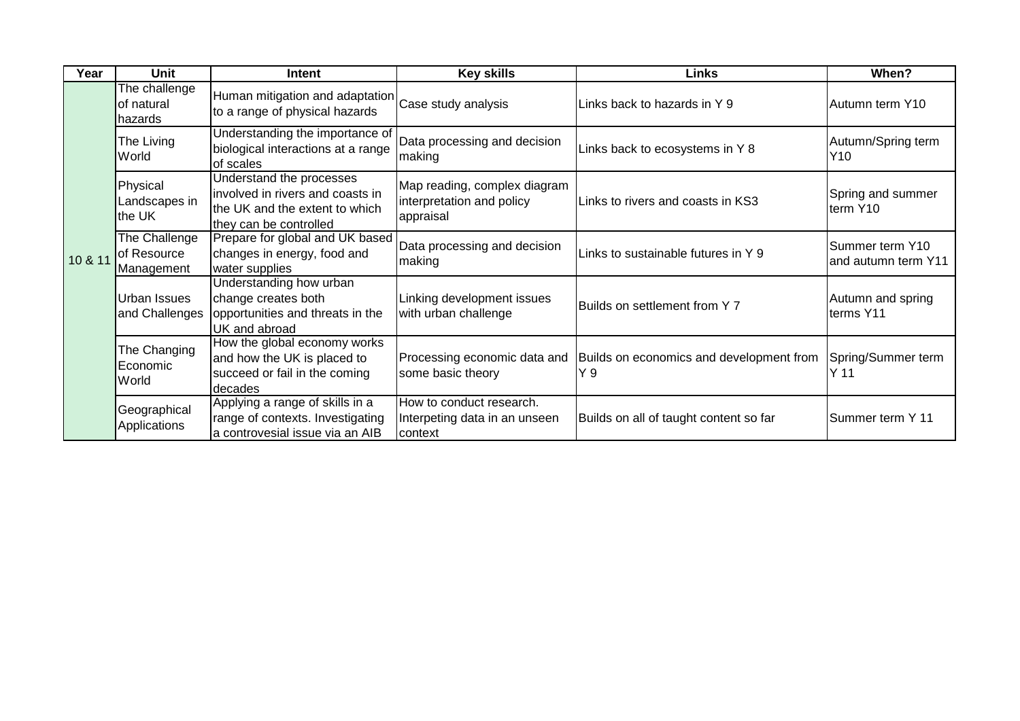| Year    | Unit                                       | Intent                                                                                                                   | <b>Key skills</b>                                                      | <b>Links</b>                                    | When?                                  |
|---------|--------------------------------------------|--------------------------------------------------------------------------------------------------------------------------|------------------------------------------------------------------------|-------------------------------------------------|----------------------------------------|
| 10 & 11 | The challenge<br>of natural<br>hazards     | Human mitigation and adaptation Case study analysis<br>to a range of physical hazards                                    |                                                                        | Links back to hazards in Y 9                    | Autumn term Y10                        |
|         | The Living<br>World                        | Understanding the importance of<br>biological interactions at a range<br>of scales                                       | Data processing and decision<br>making                                 | Links back to ecosystems in Y 8                 | Autumn/Spring term<br>Y10              |
|         | Physical<br>Landscapes in<br>the UK        | Understand the processes<br>involved in rivers and coasts in<br>the UK and the extent to which<br>they can be controlled | Map reading, complex diagram<br>interpretation and policy<br>appraisal | Links to rivers and coasts in KS3               | Spring and summer<br>term Y10          |
|         | The Challenge<br>of Resource<br>Management | Prepare for global and UK based<br>changes in energy, food and<br>water supplies                                         | Data processing and decision<br>making                                 | Links to sustainable futures in Y 9             | Summer term Y10<br>and autumn term Y11 |
|         | <b>Urban Issues</b><br>and Challenges      | Understanding how urban<br>change creates both<br>opportunities and threats in the<br>UK and abroad                      | Linking development issues<br>with urban challenge                     | Builds on settlement from Y 7                   | Autumn and spring<br>terms Y11         |
|         | The Changing<br>Economic<br>World          | How the global economy works<br>and how the UK is placed to<br>succeed or fail in the coming<br>decades                  | Processing economic data and<br>some basic theory                      | Builds on economics and development from<br>Y 9 | Spring/Summer term<br>Y <sub>11</sub>  |
|         | Geographical<br>Applications               | Applying a range of skills in a<br>range of contexts. Investigating<br>a controvesial issue via an AIB                   | How to conduct research.<br>Interpeting data in an unseen<br>context   | Builds on all of taught content so far          | Summer term Y 11                       |